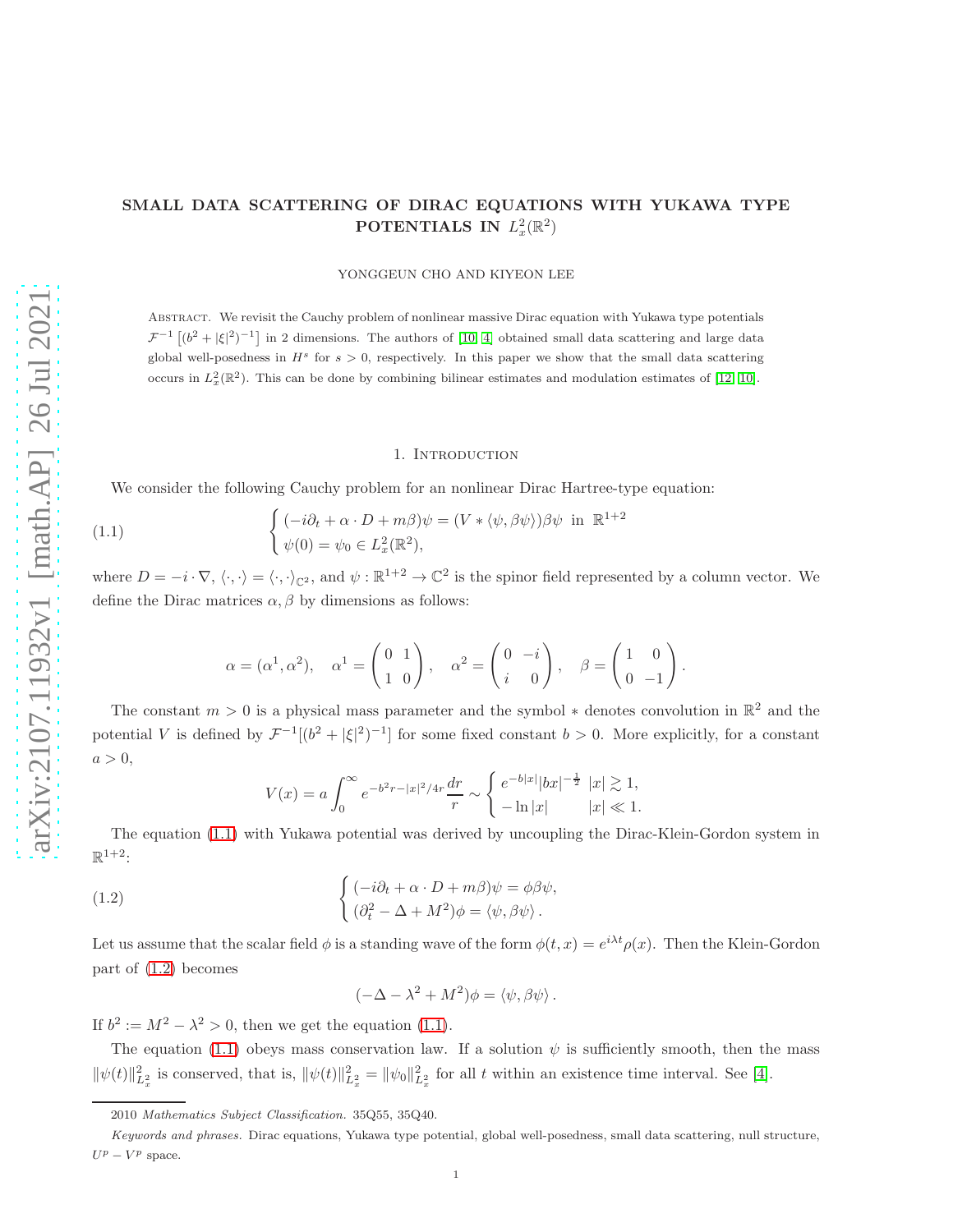# SMALL DATA SCATTERING OF DIRAC EQUATIONS WITH YUKAWA TYPE POTENTIALS IN  $L^2_x(\mathbb{R}^2)$

YONGGEUN CHO AND KIYEON LEE

Abstract. We revisit the Cauchy problem of nonlinear massive Dirac equation with Yukawa type potentials  $\mathcal{F}^{-1}$   $[(b^2 + |\xi|^2)^{-1}]$  in 2 dimensions. The authors of [\[10,](#page-8-0) [4\]](#page-7-0) obtained small data scattering and large data global well-posedness in  $H^s$  for  $s > 0$ , respectively. In this paper we show that the small data scattering occurs in  $L_x^2(\mathbb{R}^2)$ . This can be done by combining bilinear estimates and modulation estimates of [\[12,](#page-8-1) [10\]](#page-8-0).

#### 1. INTRODUCTION

We consider the following Cauchy problem for an nonlinear Dirac Hartree-type equation:

(1.1) 
$$
\begin{cases} (-i\partial_t + \alpha \cdot D + m\beta)\psi = (V * \langle \psi, \beta\psi \rangle)\beta\psi \text{ in } \mathbb{R}^{1+2} \\ \psi(0) = \psi_0 \in L_x^2(\mathbb{R}^2), \end{cases}
$$

where  $D = -i \cdot \nabla, \langle \cdot, \cdot \rangle = \langle \cdot, \cdot \rangle_{\mathbb{C}^2}$ , and  $\psi : \mathbb{R}^{1+2} \to \mathbb{C}^2$  is the spinor field represented by a column vector. We define the Dirac matrices  $\alpha$ ,  $\beta$  by dimensions as follows:

<span id="page-0-0"></span>
$$
\alpha = (\alpha^1, \alpha^2), \quad \alpha^1 = \begin{pmatrix} 0 & 1 \\ 1 & 0 \end{pmatrix}, \quad \alpha^2 = \begin{pmatrix} 0 & -i \\ i & 0 \end{pmatrix}, \quad \beta = \begin{pmatrix} 1 & 0 \\ 0 & -1 \end{pmatrix}.
$$

The constant  $m > 0$  is a physical mass parameter and the symbol  $*$  denotes convolution in  $\mathbb{R}^2$  and the potential V is defined by  $\mathcal{F}^{-1}[(b^2+|\xi|^2)^{-1}]$  for some fixed constant  $b > 0$ . More explicitly, for a constant  $a > 0$ ,

$$
V(x) = a \int_0^\infty e^{-b^2 r - |x|^2 / 4r} \frac{dr}{r} \sim \begin{cases} e^{-b|x|} |bx|^{-\frac{1}{2}} |x| \gtrsim 1, \\ -\ln|x| & |x| \ll 1. \end{cases}
$$

The equation [\(1.1\)](#page-0-0) with Yukawa potential was derived by uncoupling the Dirac-Klein-Gordon system in  $\mathbb{R}^{1+2}$ :

(1.2) 
$$
\begin{cases} (-i\partial_t + \alpha \cdot D + m\beta)\psi = \phi\beta\psi, \\ (\partial_t^2 - \Delta + M^2)\phi = \langle \psi, \beta\psi \rangle. \end{cases}
$$

Let us assume that the scalar field  $\phi$  is a standing wave of the form  $\phi(t,x) = e^{i\lambda t} \rho(x)$ . Then the Klein-Gordon part of [\(1.2\)](#page-0-1) becomes

<span id="page-0-1"></span>
$$
(-\Delta - \lambda^2 + M^2)\phi = \langle \psi, \beta\psi \rangle.
$$

If  $b^2 := M^2 - \lambda^2 > 0$ , then we get the equation [\(1.1\)](#page-0-0).

The equation [\(1.1\)](#page-0-0) obeys mass conservation law. If a solution  $\psi$  is sufficiently smooth, then the mass  $\|\psi(t)\|_{L_x^2}^2$  is conserved, that is,  $\|\psi(t)\|_{L_x^2}^2 = \|\psi_0\|_{L_x^2}^2$  for all t within an existence time interval. See [\[4\]](#page-7-0).

<sup>2010</sup> Mathematics Subject Classification. 35Q55, 35Q40.

Keywords and phrases. Dirac equations, Yukawa type potential, global well-posedness, small data scattering, null structure,  $U^p - V^p$  space.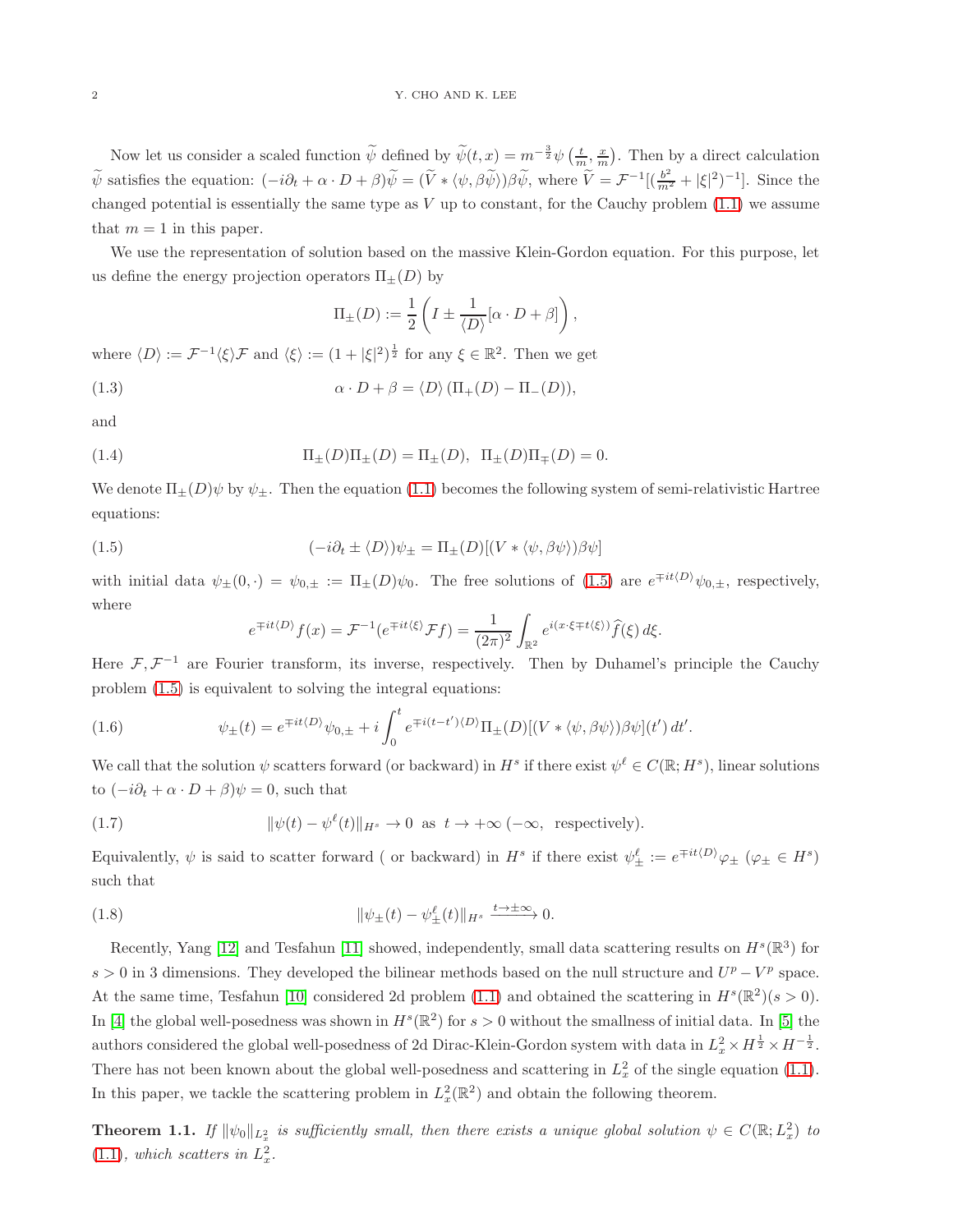Now let us consider a scaled function  $\widetilde{\psi}$  defined by  $\widetilde{\psi}(t,x) = m^{-\frac{3}{2}} \psi\left(\frac{t}{m},\frac{x}{m}\right)$ . Then by a direct calculation  $\widetilde{\psi}$  satisfies the equation:  $(-i\partial_t + \alpha \cdot D + \beta)\widetilde{\psi} = (\widetilde{V} * \langle \psi, \beta \widetilde{\psi} \rangle) \beta \widetilde{\psi}$ , where  $\widetilde{V} = \mathcal{F}^{-1}[(\frac{b^2}{m^2} + |\xi|^2)^{-1}]$ . Since the changed potential is essentially the same type as  $V$  up to constant, for the Cauchy problem  $(1.1)$  we assume that  $m = 1$  in this paper.

We use the representation of solution based on the massive Klein-Gordon equation. For this purpose, let us define the energy projection operators  $\Pi_{+}(D)$  by

$$
\Pi_{\pm}(D):=\frac{1}{2}\left(I\pm\frac{1}{\langle D\rangle}[\alpha\cdot D+\beta]\right),
$$

where  $\langle D \rangle := \mathcal{F}^{-1} \langle \xi \rangle \mathcal{F}$  and  $\langle \xi \rangle := (1 + |\xi|^2)^{\frac{1}{2}}$  for any  $\xi \in \mathbb{R}^2$ . Then we get

(1.3) 
$$
\alpha \cdot D + \beta = \langle D \rangle (\Pi_+(D) - \Pi_-(D)),
$$

and

(1.4) 
$$
\Pi_{\pm}(D)\Pi_{\pm}(D) = \Pi_{\pm}(D), \ \ \Pi_{\pm}(D)\Pi_{\mp}(D) = 0.
$$

We denote  $\Pi_{\pm}(D)\psi$  by  $\psi_{\pm}$ . Then the equation [\(1.1\)](#page-0-0) becomes the following system of semi-relativistic Hartree equations:

<span id="page-1-0"></span>(1.5) 
$$
(-i\partial_t \pm \langle D \rangle)\psi_{\pm} = \Pi_{\pm}(D)[(V * \langle \psi, \beta \psi \rangle)\beta \psi]
$$

with initial data  $\psi_{\pm}(0,\cdot) = \psi_{0,\pm} := \Pi_{\pm}(D)\psi_0$ . The free solutions of [\(1.5\)](#page-1-0) are  $e^{\mp it \langle D \rangle}\psi_{0,\pm}$ , respectively, where

$$
e^{\mp it\langle D\rangle} f(x) = \mathcal{F}^{-1}(e^{\mp it\langle \xi \rangle} \mathcal{F} f) = \frac{1}{(2\pi)^2} \int_{\mathbb{R}^2} e^{i(x \cdot \xi \mp t\langle \xi \rangle)} \hat{f}(\xi) d\xi.
$$

Here  $\mathcal{F}, \mathcal{F}^{-1}$  are Fourier transform, its inverse, respectively. Then by Duhamel's principle the Cauchy problem [\(1.5\)](#page-1-0) is equivalent to solving the integral equations:

(1.6) 
$$
\psi_{\pm}(t) = e^{\mp it \langle D \rangle} \psi_{0,\pm} + i \int_0^t e^{\mp i (t-t') \langle D \rangle} \Pi_{\pm}(D) [(V * \langle \psi, \beta \psi \rangle) \beta \psi](t') dt'.
$$

We call that the solution  $\psi$  scatters forward (or backward) in  $H^s$  if there exist  $\psi^{\ell} \in C(\mathbb{R}; H^s)$ , linear solutions to  $(-i\partial_t + \alpha \cdot D + \beta)\psi = 0$ , such that

(1.7) 
$$
\|\psi(t) - \psi^{\ell}(t)\|_{H^s} \to 0 \text{ as } t \to +\infty \; (-\infty, \text{ respectively}).
$$

Equivalently,  $\psi$  is said to scatter forward (or backward) in  $H^s$  if there exist  $\psi_{\pm}^{\ell} := e^{\mp it \langle D \rangle} \varphi_{\pm} \; (\varphi_{\pm} \in H^s)$ such that

(1.8) 
$$
\|\psi_{\pm}(t) - \psi_{\pm}^{\ell}(t)\|_{H^s} \xrightarrow{t \to \pm \infty} 0.
$$

Recently, Yang [\[12\]](#page-8-1) and Tesfahun [\[11\]](#page-8-2) showed, independently, small data scattering results on  $H^s(\mathbb{R}^3)$  for  $s > 0$  in 3 dimensions. They developed the bilinear methods based on the null structure and  $U^p - V^p$  space. At the same time, Tesfahun [\[10\]](#page-8-0) considered 2d problem [\(1.1\)](#page-0-0) and obtained the scattering in  $H^s(\mathbb{R}^2)(s>0)$ . In [\[4\]](#page-7-0) the global well-posedness was shown in  $H^s(\mathbb{R}^2)$  for  $s > 0$  without the smallness of initial data. In [\[5\]](#page-7-1) the authors considered the global well-posedness of 2d Dirac-Klein-Gordon system with data in  $L_x^2 \times H^{\frac{1}{2}} \times H^{-\frac{1}{2}}$ . There has not been known about the global well-posedness and scattering in  $L_x^2$  of the single equation [\(1.1\)](#page-0-0). In this paper, we tackle the scattering problem in  $L_x^2(\mathbb{R}^2)$  and obtain the following theorem.

<span id="page-1-1"></span>**Theorem 1.1.** If  $\|\psi_0\|_{L^2_x}$  is sufficiently small, then there exists a unique global solution  $\psi \in C(\mathbb{R}; L^2_x)$  to  $(1.1)$ , which scatters in  $L_x^2$ .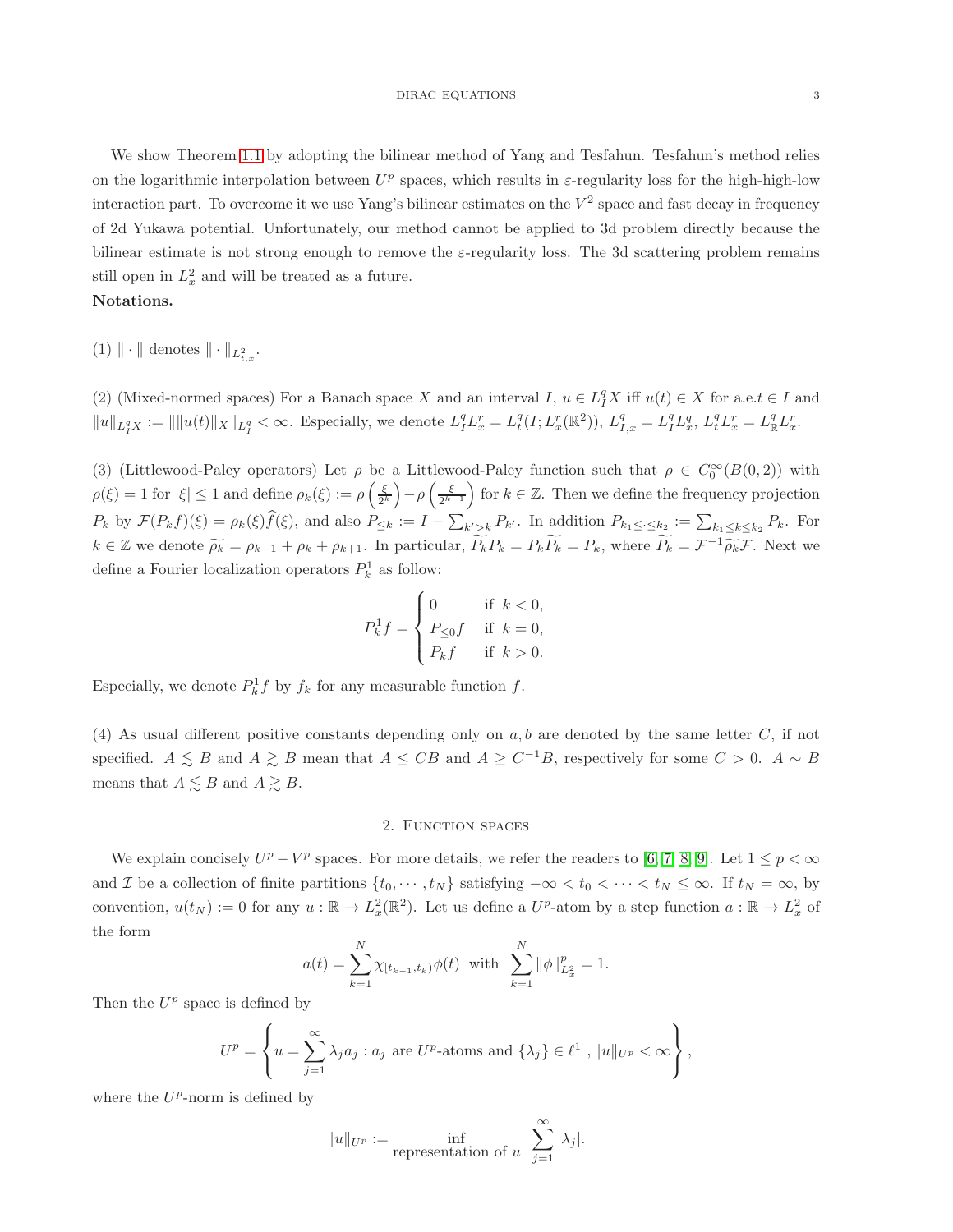We show Theorem [1.1](#page-1-1) by adopting the bilinear method of Yang and Tesfahun. Tesfahun's method relies on the logarithmic interpolation between  $U^p$  spaces, which results in  $\varepsilon$ -regularity loss for the high-high-low interaction part. To overcome it we use Yang's bilinear estimates on the  $V^2$  space and fast decay in frequency of 2d Yukawa potential. Unfortunately, our method cannot be applied to 3d problem directly because the bilinear estimate is not strong enough to remove the  $\varepsilon$ -regularity loss. The 3d scattering problem remains still open in  $L_x^2$  and will be treated as a future.

# Notations.

 $(1) \| \cdot \|$  denotes  $\| \cdot \|_{L^2_{t,x}}$ .

(2) (Mixed-normed spaces) For a Banach space X and an interval  $I, u \in L_I^q X$  iff  $u(t) \in X$  for a.e. $t \in I$  and  $||u||_{L_I^q X} := ||||u(t)||_X||_{L_I^q} < \infty$ . Especially, we denote  $L_I^q L_x^r = L_t^q (I; L_x^r (\mathbb{R}^2))$ ,  $L_{I,x}^q = L_I^q L_x^q$ ,  $L_t^q L_x^r = L_{\mathbb{R}}^q L_x^r$ .

(3) (Littlewood-Paley operators) Let  $\rho$  be a Littlewood-Paley function such that  $\rho \in C_0^{\infty}(B(0, 2))$  with  $\rho(\xi) = 1$  for  $|\xi| \leq 1$  and define  $\rho_k(\xi) := \rho\left(\frac{\xi}{2^k}\right)$  $\left(\frac{\xi}{2^k}\right) - \rho \left(\frac{\xi}{2^k}\right)$  $\left(\frac{\xi}{2^{k-1}}\right)$  for  $k \in \mathbb{Z}$ . Then we define the frequency projection  $P_k$  by  $\mathcal{F}(P_k f)(\xi) = \rho_k(\xi) \widehat{f}(\xi)$ , and also  $P_{\leq k} := I - \sum_{k' > k} P_{k'}$ . In addition  $P_{k_1 \leq \cdot \leq k_2} := \sum_{k_1 \leq k \leq k_2} P_k$ . For  $k \in \mathbb{Z}$  we denote  $\widetilde{\rho_k} = \rho_{k-1} + \rho_k + \rho_{k+1}$ . In particular,  $\widetilde{P_k}P_k = P_k\widetilde{P_k} = P_k$ , where  $\widetilde{P_k} = \mathcal{F}^{-1}\widetilde{\rho_k}\mathcal{F}$ . Next we define a Fourier localization operators  $P_k^1$  as follow:

$$
P_k^1 f = \begin{cases} 0 & \text{if } k < 0, \\ P_{\leq 0}f & \text{if } k = 0, \\ P_k f & \text{if } k > 0. \end{cases}
$$

Especially, we denote  $P_k^1 f$  by  $f_k$  for any measurable function  $f$ .

(4) As usual different positive constants depending only on  $a, b$  are denoted by the same letter  $C$ , if not specified.  $A \leq B$  and  $A \geq B$  mean that  $A \leq CB$  and  $A \geq C^{-1}B$ , respectively for some  $C > 0$ .  $A \sim B$ means that  $A \lesssim B$  and  $A \gtrsim B$ .

## 2. FUNCTION SPACES

We explain concisely  $U^p - V^p$  spaces. For more details, we refer the readers to [\[6,](#page-8-3) [7,](#page-8-4) [8,](#page-8-5) [9\]](#page-8-6). Let  $1 \leq p < \infty$ and I be a collection of finite partitions  $\{t_0, \dots, t_N\}$  satisfying  $-\infty < t_0 < \dots < t_N \leq \infty$ . If  $t_N = \infty$ , by convention,  $u(t_N) := 0$  for any  $u : \mathbb{R} \to L_x^2(\mathbb{R}^2)$ . Let us define a  $U^p$ -atom by a step function  $a : \mathbb{R} \to L_x^2$  of the form

$$
a(t) = \sum_{k=1}^{N} \chi_{[t_{k-1}, t_k)} \phi(t) \text{ with } \sum_{k=1}^{N} ||\phi||_{L_x^2}^p = 1.
$$

Then the  $U^p$  space is defined by

$$
U^{p} = \left\{ u = \sum_{j=1}^{\infty} \lambda_{j} a_{j} : a_{j} \text{ are } U^{p}\text{-atoms and } \{\lambda_{j}\} \in \ell^{1}, ||u||_{U^{p}} < \infty \right\},\
$$

where the  $U^p$ -norm is defined by

$$
||u||_{U^p} := \inf_{\text{representation of } u} \sum_{j=1}^{\infty} |\lambda_j|.
$$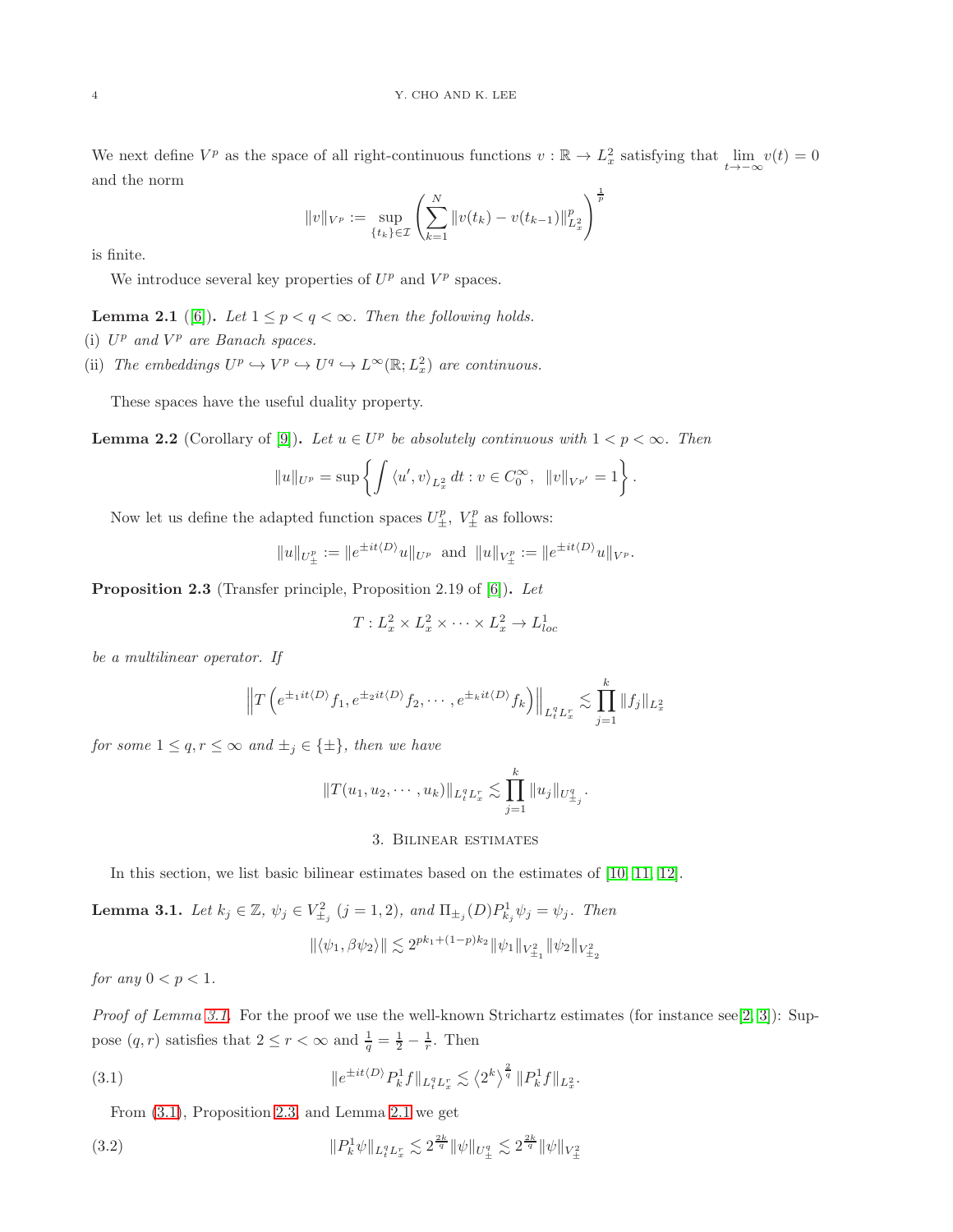We next define  $V^p$  as the space of all right-continuous functions  $v : \mathbb{R} \to L^2_x$  satisfying that  $\lim_{t \to -\infty} v(t) = 0$ and the norm

$$
||v||_{V^{p}} := \sup_{\{t_k\} \in \mathcal{I}} \left( \sum_{k=1}^{N} ||v(t_k) - v(t_{k-1})||_{L_x^2}^p \right)^{\frac{1}{p}}
$$

is finite.

We introduce several key properties of  $U^p$  and  $V^p$  spaces.

<span id="page-3-3"></span>**Lemma 2.1** ([\[6\]](#page-8-3)). Let  $1 \leq p < q < \infty$ . Then the following holds.

- (i)  $U^p$  and  $V^p$  are Banach spaces.
- (ii) The embeddings  $U^p \hookrightarrow V^p \hookrightarrow U^q \hookrightarrow L^{\infty}(\mathbb{R}; L^2_x)$  are continuous.

These spaces have the useful duality property.

**Lemma 2.2** (Corollary of [\[9\]](#page-8-6)). Let  $u \in U^p$  be absolutely continuous with  $1 < p < \infty$ . Then

$$
||u||_{U^{p}} = \sup \left\{ \int \langle u', v \rangle_{L_{x}^{2}} dt : v \in C_{0}^{\infty}, ||v||_{V^{p'}} = 1 \right\}.
$$

Now let us define the adapted function spaces  $U^p_{\pm}$ ,  $V^p_{\pm}$  as follows:

$$
||u||_{U^p_{\pm}} := ||e^{\pm it\langle D \rangle}u||_{U^p}
$$
 and  $||u||_{V^p_{\pm}} := ||e^{\pm it\langle D \rangle}u||_{V^p}$ .

<span id="page-3-2"></span>Proposition 2.3 (Transfer principle, Proposition 2.19 of [\[6\]](#page-8-3)). Let

$$
T: L_x^2 \times L_x^2 \times \cdots \times L_x^2 \to L_{loc}^1
$$

be a multilinear operator. If

$$
\left\|T\left(e^{\pm_1it\langle D\rangle}f_1,e^{\pm_2it\langle D\rangle}f_2,\cdots,e^{\pm_kit\langle D\rangle}f_k\right)\right\|_{L_t^qL_x^r} \lesssim \prod_{j=1}^k \|f_j\|_{L_x^2}
$$

for some  $1 \leq q, r \leq \infty$  and  $\pm_i \in \{\pm\}$ , then we have

$$
||T(u_1, u_2, \cdots, u_k)||_{L_t^q L_x^r} \lesssim \prod_{j=1}^k ||u_j||_{U_{\pm_j}^q}.
$$

#### 3. Bilinear estimates

In this section, we list basic bilinear estimates based on the estimates of [\[10,](#page-8-0) [11,](#page-8-2) [12\]](#page-8-1).

<span id="page-3-0"></span>**Lemma 3.1.** Let  $k_j \in \mathbb{Z}$ ,  $\psi_j \in V_{\pm_j}^2$   $(j = 1, 2)$ , and  $\Pi_{\pm_j}(D)P_{k_j}^1 \psi_j = \psi_j$ . Then

$$
\|\langle \psi_1, \beta \psi_2 \rangle \| \lesssim 2^{pk_1 + (1-p)k_2} \|\psi_1\|_{V^2_{\pm_1}} \|\psi_2\|_{V^2_{\pm_2}}
$$

for any  $0 < p < 1$ .

Proof of Lemma [3.1.](#page-3-0) For the proof we use the well-known Strichartz estimates (for instance see[\[2,](#page-7-2) [3\]](#page-7-3)): Suppose  $(q, r)$  satisfies that  $2 \le r < \infty$  and  $\frac{1}{q} = \frac{1}{2} - \frac{1}{r}$ . Then

<span id="page-3-1"></span>(3.1) 
$$
\|e^{\pm it\langle D\rangle} P_k^1 f\|_{L_t^q L_x^r} \lesssim \langle 2^k \rangle^{\frac{2}{q}} \|P_k^1 f\|_{L_x^2}.
$$

From [\(3.1\)](#page-3-1), Proposition [2.3,](#page-3-2) and Lemma [2.1](#page-3-3) we get

<span id="page-3-4"></span>(3.2) 
$$
\|P_k^1 \psi\|_{L_t^q L_x^r} \lesssim 2^{\frac{2k}{q}} \|\psi\|_{U^q_{\pm}} \lesssim 2^{\frac{2k}{q}} \|\psi\|_{V^2_{\pm}}
$$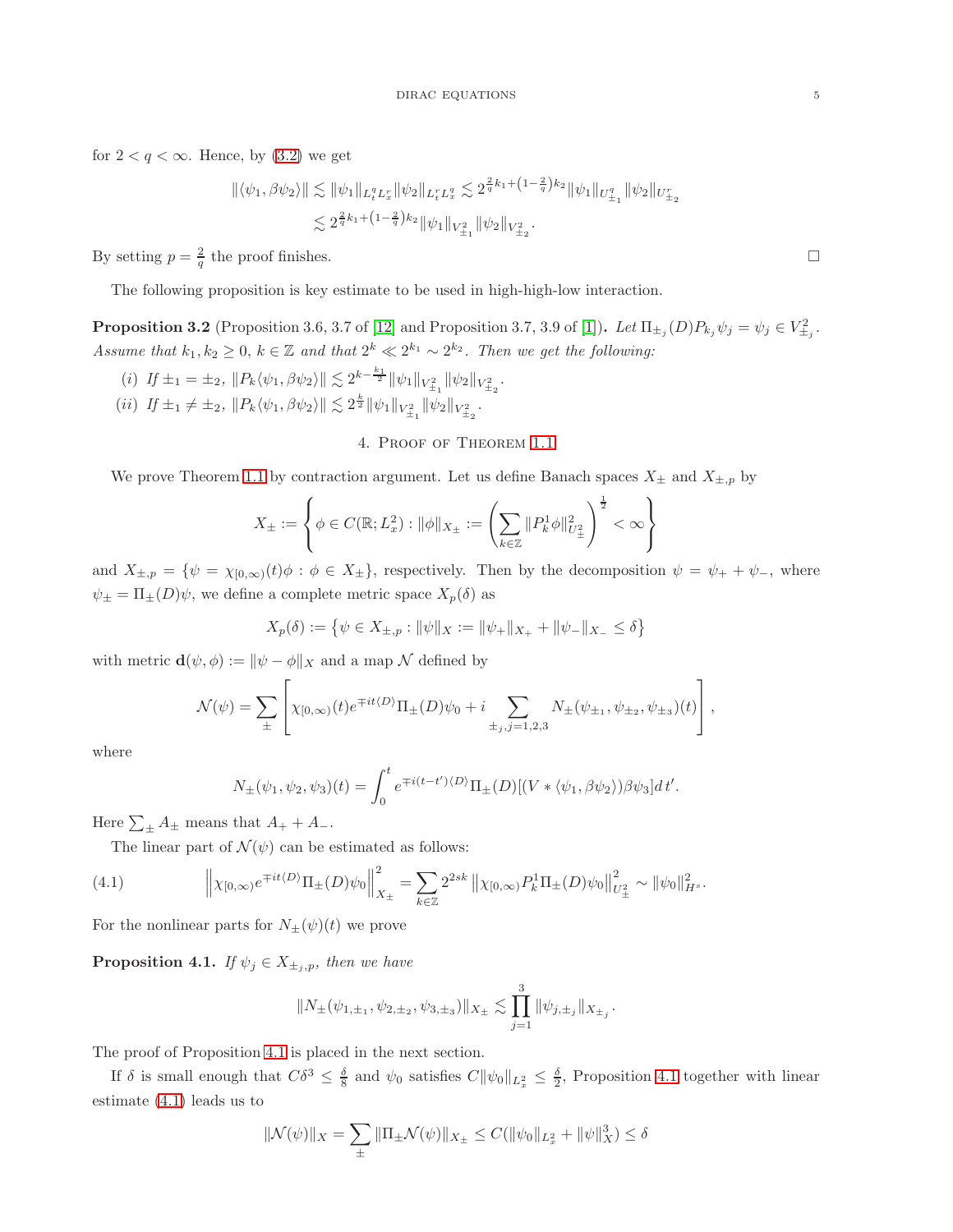for  $2 < q < \infty$ . Hence, by  $(3.2)$  we get

$$
\begin{aligned} \|\langle \psi_1, \beta \psi_2 \rangle \| &\lesssim \|\psi_1\|_{L_t^q L_x^r} \|\psi_2\|_{L_t^r L_x^q} \lesssim 2^{\frac{2}{q}k_1 + \left(1 - \frac{2}{q}\right)k_2} \|\psi_1\|_{U_{\pm_1}^q} \|\psi_2\|_{U_{\pm_2}^r} \\ &\lesssim 2^{\frac{2}{q}k_1 + \left(1 - \frac{2}{q}\right)k_2} \|\psi_1\|_{V_{\pm_1}^2} \|\psi_2\|_{V_{\pm_2}^2} .\end{aligned}
$$

By setting  $p = \frac{2}{q}$  the proof finishes.

The following proposition is key estimate to be used in high-high-low interaction.

<span id="page-4-2"></span>**Proposition 3.2** (Proposition 3.6, 3.7 of [\[12\]](#page-8-1) and Proposition 3.7, 3.9 of [\[1\]](#page-7-4)). Let  $\Pi_{\pm j}(D)P_{k_j}\psi_j = \psi_j \in V_{\pm j}^2$ . Assume that  $k_1, k_2 \geq 0$ ,  $k \in \mathbb{Z}$  and that  $2^k \ll 2^{k_1} \sim 2^{k_2}$ . Then we get the following:

(i)  $If \pm_1 = \pm_2, \|P_k \langle \psi_1, \beta \psi_2 \rangle \| \lesssim 2^{k - \frac{k_1}{2}} \|\psi_1\|_{V_{\pm_1}} \|\psi_2\|_{V_{\pm_2}^2}.$ (*ii*)  $If \pm_1 \neq \pm_2, \|P_k \langle \psi_1, \beta \psi_2 \rangle \| \lesssim 2^{\frac{k}{2}} \|\psi_1\|_{V_{\pm_1}} \|\psi_2\|_{V_{\pm_2}^2}.$ 

4. Proof of Theorem [1.1](#page-1-1)

We prove Theorem [1.1](#page-1-1) by contraction argument. Let us define Banach spaces  $X_{\pm}$  and  $X_{\pm,p}$  by

$$
X_{\pm} := \left\{ \phi \in C(\mathbb{R}; L^2_x) : \|\phi\|_{X_{\pm}} := \left( \sum_{k \in \mathbb{Z}} \|P_k^1 \phi\|_{U^2_{\pm}}^2 \right)^{\frac{1}{2}} < \infty \right\}
$$

and  $X_{\pm,p} = \{\psi = \chi_{[0,\infty)}(t)\phi : \phi \in X_{\pm}\}\)$ , respectively. Then by the decomposition  $\psi = \psi_+ + \psi_-,$  where  $\psi_{\pm} = \Pi_{\pm}(D)\psi$ , we define a complete metric space  $X_p(\delta)$  as

$$
X_p(\delta) := \left\{ \psi \in X_{\pm,p} : ||\psi||_X := ||\psi_+||_{X_+} + ||\psi_-||_{X_-} \le \delta \right\}
$$

with metric  $\mathbf{d}(\psi,\phi):=\|\psi-\phi\|_X$  and a map  $\mathcal N$  defined by

$$
\mathcal{N}(\psi) = \sum_{\pm} \left[ \chi_{[0,\infty)}(t) e^{\mp it \langle D \rangle} \Pi_{\pm} (D) \psi_0 + i \sum_{\pm_j, j=1,2,3} N_{\pm}(\psi_{\pm_1}, \psi_{\pm_2}, \psi_{\pm_3}) (t) \right],
$$

where

$$
N_{\pm}(\psi_1, \psi_2, \psi_3)(t) = \int_0^t e^{\mp i(t - t') \langle D \rangle} \Pi_{\pm}(D) [(V * \langle \psi_1, \beta \psi_2 \rangle) \beta \psi_3] dt'.
$$

Here  $\sum_{\pm} A_{\pm}$  means that  $A_{+} + A_{-}$ .

The linear part of  $\mathcal{N}(\psi)$  can be estimated as follows:

<span id="page-4-1"></span>(4.1) 
$$
\left\| \chi_{[0,\infty)} e^{\mp it \langle D \rangle} \Pi_{\pm}(D) \psi_0 \right\|_{X_{\pm}}^2 = \sum_{k \in \mathbb{Z}} 2^{2sk} \left\| \chi_{[0,\infty)} P_k^1 \Pi_{\pm}(D) \psi_0 \right\|_{U_{\pm}^2}^2 \sim \left\| \psi_0 \right\|_{H^s}^2.
$$

For the nonlinear parts for  $N_{\pm}(\psi)(t)$  we prove

<span id="page-4-0"></span>**Proposition 4.1.** If  $\psi_j \in X_{\pm_j,p}$ , then we have

$$
||N_{\pm}(\psi_{1,\pm1},\psi_{2,\pm2},\psi_{3,\pm3})||_{X_{\pm}} \lesssim \prod_{j=1}^3 ||\psi_{j,\pm_j}||_{X_{\pm_j}}
$$

.

The proof of Proposition [4.1](#page-4-0) is placed in the next section.

If  $\delta$  is small enough that  $C\delta^3 \leq \frac{\delta}{8}$  and  $\psi_0$  satisfies  $C\|\psi_0\|_{L^2_x} \leq \frac{\delta}{2}$ , Proposition [4.1](#page-4-0) together with linear estimate [\(4.1\)](#page-4-1) leads us to

$$
\|\mathcal{N}(\psi)\|_{X} = \sum_{\pm} \|\Pi_{\pm}\mathcal{N}(\psi)\|_{X_{\pm}} \le C(\|\psi_0\|_{L_x^2} + \|\psi\|_{X}^3) \le \delta
$$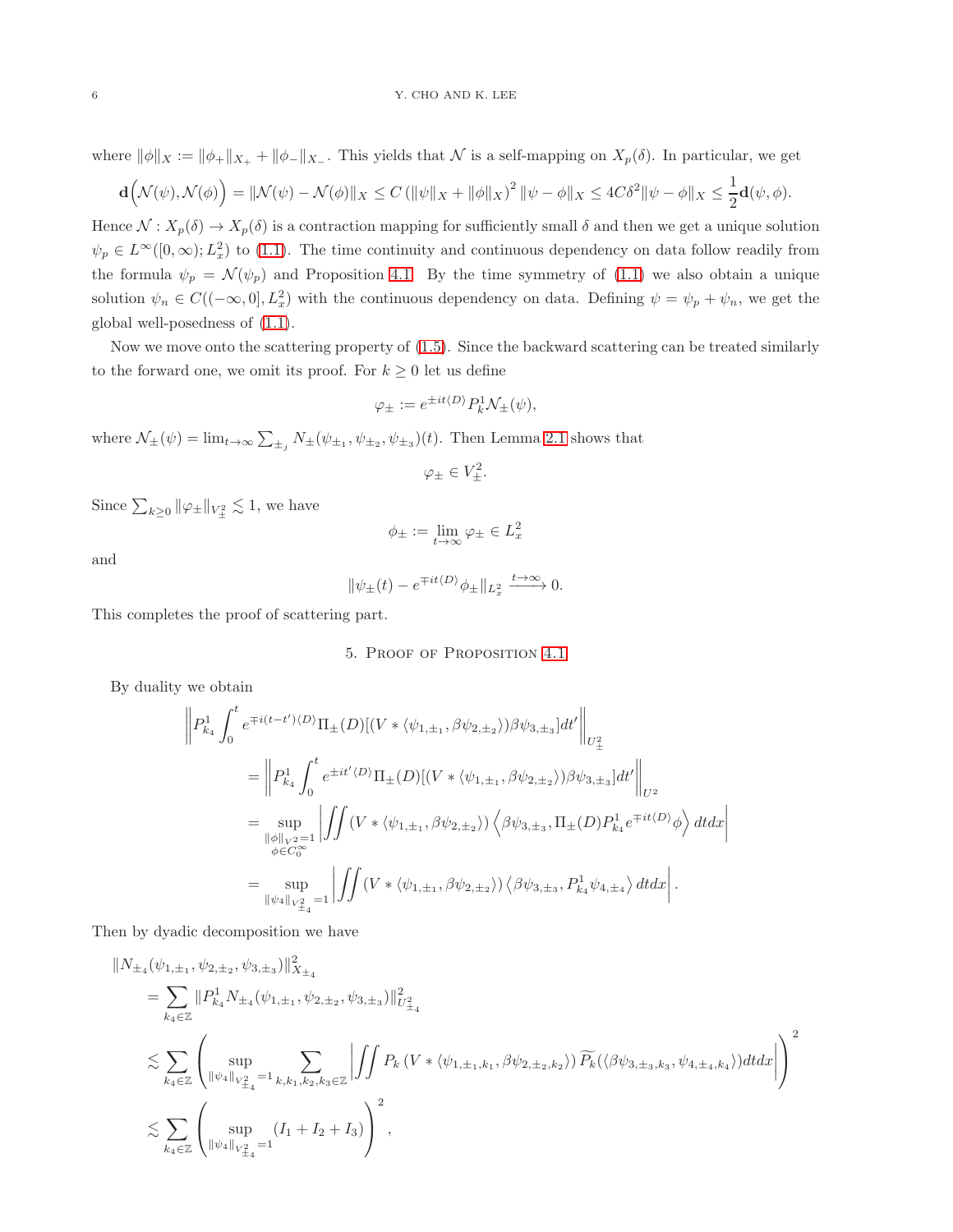where  $\|\phi\|_X := \|\phi_+\|_{X_+} + \|\phi_-\|_{X_-}$ . This yields that N is a self-mapping on  $X_p(\delta)$ . In particular, we get

$$
\mathbf{d}\Big(\mathcal{N}(\psi),\mathcal{N}(\phi)\Big) = \|\mathcal{N}(\psi) - \mathcal{N}(\phi)\|_X \le C \left(\|\psi\|_X + \|\phi\|_X\right)^2 \|\psi - \phi\|_X \le 4C\delta^2 \|\psi - \phi\|_X \le \frac{1}{2}\mathbf{d}(\psi,\phi).
$$

Hence  $\mathcal{N}: X_p(\delta) \to X_p(\delta)$  is a contraction mapping for sufficiently small  $\delta$  and then we get a unique solution  $\psi_p \in L^{\infty}([0,\infty); L_x^2)$  to [\(1.1\)](#page-0-0). The time continuity and continuous dependency on data follow readily from the formula  $\psi_p = \mathcal{N}(\psi_p)$  and Proposition [4.1.](#page-4-0) By the time symmetry of [\(1.1\)](#page-0-0) we also obtain a unique solution  $\psi_n \in C((-\infty,0], L_x^2)$  with the continuous dependency on data. Defining  $\psi = \psi_p + \psi_n$ , we get the global well-posedness of [\(1.1\)](#page-0-0).

Now we move onto the scattering property of [\(1.5\)](#page-1-0). Since the backward scattering can be treated similarly to the forward one, we omit its proof. For  $k \geq 0$  let us define

$$
\varphi_{\pm} := e^{\pm it\langle D \rangle} P_k^1 \mathcal{N}_{\pm}(\psi),
$$

where  $\mathcal{N}_{\pm}(\psi) = \lim_{t \to \infty} \sum_{\pm_j} N_{\pm}(\psi_{\pm_1}, \psi_{\pm_2}, \psi_{\pm_3})(t)$ . Then Lemma [2.1](#page-3-3) shows that

$$
\varphi_{\pm} \in V_{\pm}^2.
$$

Since  $\sum_{k\geq 0} ||\varphi_{\pm}||_{V_{\pm}^2} \lesssim 1$ , we have

$$
\phi_{\pm} := \lim_{t \to \infty} \varphi_{\pm} \in L_x^2
$$

and

$$
\|\psi_{\pm}(t) - e^{\mp it\langle D \rangle} \phi_{\pm}\|_{L_x^2} \xrightarrow{t \to \infty} 0.
$$

This completes the proof of scattering part.

#### 5. Proof of Proposition [4.1](#page-4-0)

By duality we obtain

$$
\left\| P_{k_4}^1 \int_0^t e^{\mp i(t - t')\langle D \rangle} \Pi_{\pm}(D) [(V * \langle \psi_{1, \pm_1}, \beta \psi_{2, \pm_2} \rangle) \beta \psi_{3, \pm_3}] dt' \right\|_{U^2_{\pm}}
$$
  
\n
$$
= \left\| P_{k_4}^1 \int_0^t e^{\pm i t' \langle D \rangle} \Pi_{\pm}(D) [(V * \langle \psi_{1, \pm_1}, \beta \psi_{2, \pm_2} \rangle) \beta \psi_{3, \pm_3}] dt' \right\|_{U^2}
$$
  
\n
$$
= \sup_{\substack{\|\phi\|_{V^{2}} = 1 \\ \phi \in C_0^{\infty}}} \left| \int \int (V * \langle \psi_{1, \pm_1}, \beta \psi_{2, \pm_2} \rangle) \left\langle \beta \psi_{3, \pm_3}, \Pi_{\pm}(D) P_{k_4}^1 e^{\mp it \langle D \rangle} \phi \right\rangle dt dx \right|
$$
  
\n
$$
= \sup_{\substack{\|\psi_4\|_{V^2_{\pm_4}}} = 1} \left| \int \int (V * \langle \psi_{1, \pm_1}, \beta \psi_{2, \pm_2} \rangle) \left\langle \beta \psi_{3, \pm_3}, P_{k_4}^1 \psi_{4, \pm_4} \right\rangle dt dx \right|.
$$

Then by dyadic decomposition we have

$$
\label{eq:3.10} \begin{split} & \| N_{\pm_4} (\psi_{1,\pm_1}, \psi_{2,\pm_2}, \psi_{3,\pm_3}) \|_{X_{\pm_4}}^2 \\ & = \sum_{k_4 \in \mathbb{Z}} \| P^1_{k_4} N_{\pm_4} (\psi_{1,\pm_1}, \psi_{2,\pm_2}, \psi_{3,\pm_3}) \|_{U^2_{\pm_4}}^2 \\ & \lesssim \sum_{k_4 \in \mathbb{Z}} \left( \sup_{\|\psi_4\|_{V^2_{\pm_4}} = 1} \sum_{k, k_1, k_2, k_3 \in \mathbb{Z}} \left| \iint P_k \left( V \ast \langle \psi_{1,\pm_1, k_1}, \beta \psi_{2,\pm_2, k_2} \rangle \right) \widetilde{P_k} (\langle \beta \psi_{3,\pm_3, k_3}, \psi_{4,\pm_4, k_4} \rangle) dt dx \right| \right)^2 \\ & \lesssim \sum_{k_4 \in \mathbb{Z}} \left( \sup_{\|\psi_4\|_{V^2_{\pm_4}} = 1} (I_1 + I_2 + I_3) \right)^2, \end{split}
$$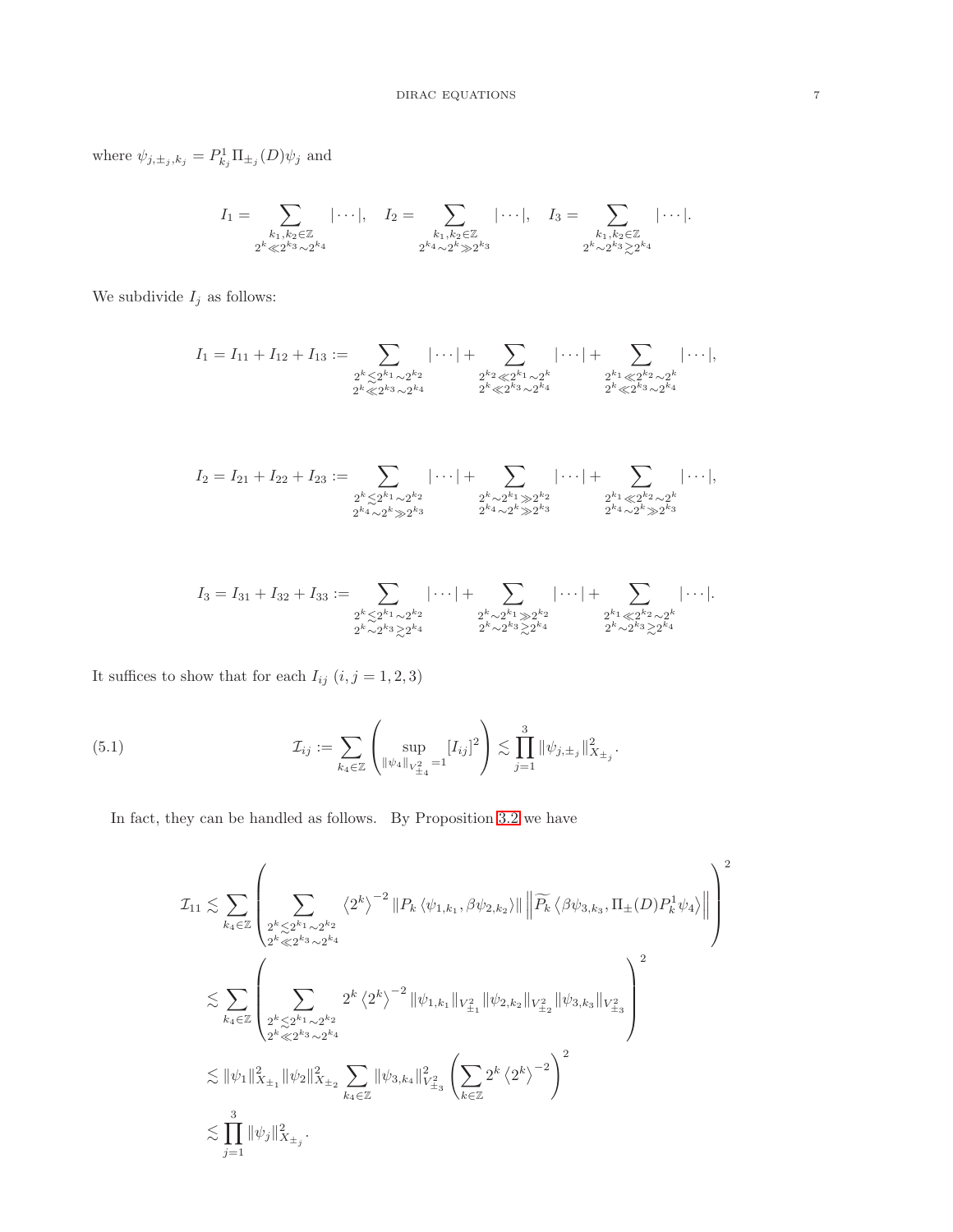where  $\psi_{j,\pm_j,k_j} = P^1_{k_j} \Pi_{\pm_j}(D) \psi_j$  and

$$
I_1 = \sum_{\substack{k_1, k_2 \in \mathbb{Z} \\ 2^k \ll 2^{k_3} \sim 2^{k_4}}} |\cdots|, \quad I_2 = \sum_{\substack{k_1, k_2 \in \mathbb{Z} \\ 2^{k_4} \sim 2^k \gg 2^{k_3}}} |\cdots|, \quad I_3 = \sum_{\substack{k_1, k_2 \in \mathbb{Z} \\ 2^k \sim 2^{k_3} \gtrsim 2^{k_4}}} |\cdots|.
$$

We subdivide  ${\cal I}_j$  as follows:

$$
I_1 = I_{11} + I_{12} + I_{13} := \sum_{\substack{2^k \leq 2^{k_1} \sim 2^{k_2} \\ 2^k \leq 2^{k_3} \sim 2^{k_4}}} |\cdots| + \sum_{\substack{2^{k_2} \leq 2^{k_1} \sim 2^k \\ 2^k \leq 2^{k_3} \sim 2^{k_4}}} |\cdots| + \sum_{\substack{2^{k_1} \leq 2^{k_2} \sim 2^k \\ 2^k \leq 2^{k_3} \sim 2^{k_4}}} |\cdots|,
$$

$$
I_2 = I_{21} + I_{22} + I_{23} := \sum_{\substack{2^k \leq 2^{k_1} \sim 2^{k_2} \\ 2^{k_4} \sim 2^k \gg 2^{k_3}}} |\cdots| + \sum_{\substack{2^k \sim 2^{k_1} \gg 2^{k_2} \\ 2^{k_4} \sim 2^k \gg 2^{k_3}}} |\cdots| + \sum_{\substack{2^{k_1} \leq 2^{k_2} \sim 2^k \\ 2^{k_4} \sim 2^k \gg 2^{k_3}}} |\cdots|,
$$

$$
I_3 = I_{31} + I_{32} + I_{33} := \sum_{\substack{2^k \leq 2^{k_1} \sim 2^{k_2} \\ 2^k \sim 2^{k_3} \geq 2^{k_4}}} |\cdots| + \sum_{\substack{2^k \sim 2^{k_1} \gg 2^{k_2} \\ 2^k \sim 2^{k_3} \geq 2^{k_4}}} |\cdots| + \sum_{\substack{2^{k_1} \leq 2^{k_2} \sim 2^k \\ 2^k \sim 2^{k_3} \geq 2^{k_4}}} |\cdots|.
$$

It suffices to show that for each  $I_{ij} \ (i,j=1,2,3)$ 

(5.1) 
$$
\mathcal{I}_{ij} := \sum_{k_4 \in \mathbb{Z}} \left( \sup_{\|\psi_4\|_{V_{\pm_4}^2} = 1} [I_{ij}]^2 \right) \lesssim \prod_{j=1}^3 \|\psi_{j,\pm_j}\|_{X_{\pm_j}}^2.
$$

In fact, they can be handled as follows. By Proposition [3.2](#page-4-2) we have

$$
\mathcal{I}_{11} \lesssim \sum_{k_4 \in \mathbb{Z}} \left( \sum_{\substack{2^k \lesssim 2^{k_1} \sim 2^{k_2} \\ 2^k \ll 2^{k_3} \sim 2^{k_4}}} \langle 2^k \rangle^{-2} \| P_k \langle \psi_{1,k_1}, \beta \psi_{2,k_2} \rangle \| \left\| \widetilde{P_k} \langle \beta \psi_{3,k_3}, \Pi_{\pm}(D) P_k^1 \psi_4 \rangle \right\| \right)^2
$$
  

$$
\lesssim \sum_{k_4 \in \mathbb{Z}} \left( \sum_{\substack{2^k \lesssim 2^{k_1} \sim 2^{k_2} \\ 2^k \ll 2^{k_3} \sim 2^{k_4}}} 2^k \langle 2^k \rangle^{-2} \| \psi_{1,k_1} \|_{V_{\pm_1}^2} \| \psi_{2,k_2} \|_{V_{\pm_2}^2} \| \psi_{3,k_3} \|_{V_{\pm_3}^2} \right)^2
$$
  

$$
\lesssim \| \psi_1 \|_{X_{\pm_1}}^2 \| \psi_2 \|_{X_{\pm_2}}^2 \sum_{k_4 \in \mathbb{Z}} \| \psi_{3,k_4} \|_{V_{\pm_3}^2}^2 \left( \sum_{k \in \mathbb{Z}} 2^k \langle 2^k \rangle^{-2} \right)^2
$$
  

$$
\lesssim \prod_{j=1}^3 \| \psi_j \|_{X_{\pm_j}}^2.
$$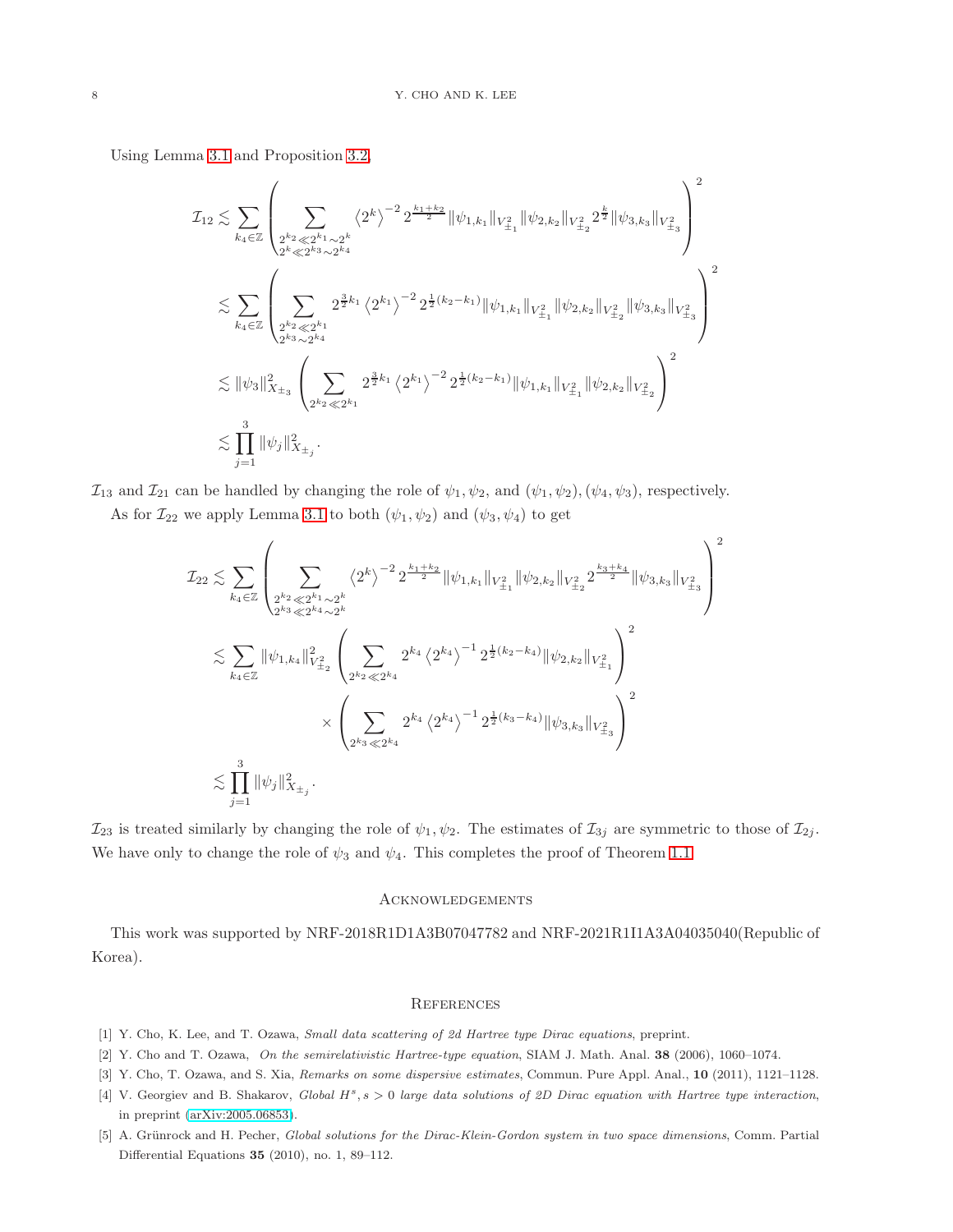Using Lemma [3.1](#page-3-0) and Proposition [3.2,](#page-4-2)

$$
\mathcal{I}_{12} \lesssim \sum_{k_4 \in \mathbb{Z}} \left( \sum_{\substack{2^{k_2} \ll 2^{k_1} \sim 2^k \\ 2^{k_2} \ll 2^{k_3} \sim 2^{k_4}}} \langle 2^k \rangle^{-2} 2^{\frac{k_1 + k_2}{2}} \|\psi_{1,k_1}\|_{V_{\pm_1}^2} \|\psi_{2,k_2}\|_{V_{\pm_2}^2} 2^{\frac{k}{2}} \|\psi_{3,k_3}\|_{V_{\pm_3}^2} \right)^2
$$
  

$$
\lesssim \sum_{k_4 \in \mathbb{Z}} \left( \sum_{\substack{2^{k_2} \ll 2^{k_1} \\ 2^{k_3} \sim 2^{k_4}}} 2^{\frac{3}{2}k_1} \langle 2^{k_1} \rangle^{-2} 2^{\frac{1}{2}(k_2 - k_1)} \|\psi_{1,k_1}\|_{V_{\pm_1}^2} \|\psi_{2,k_2}\|_{V_{\pm_2}^2} \|\psi_{3,k_3}\|_{V_{\pm_3}^2} \right)^2
$$
  

$$
\lesssim \|\psi_3\|_{X_{\pm_3}}^2 \left( \sum_{\substack{2^{k_2} \ll 2^{k_1} \\ 2^{k_2} \ll 2^{k_1}}} 2^{\frac{3}{2}k_1} \langle 2^{k_1} \rangle^{-2} 2^{\frac{1}{2}(k_2 - k_1)} \|\psi_{1,k_1}\|_{V_{\pm_1}^2} \|\psi_{2,k_2}\|_{V_{\pm_2}^2} \right)^2
$$
  

$$
\lesssim \prod_{j=1}^3 \|\psi_j\|_{X_{\pm_j}}^2.
$$

 $\mathcal{I}_{13}$  and  $\mathcal{I}_{21}$  can be handled by changing the role of  $\psi_1, \psi_2$ , and  $(\psi_1, \psi_2), (\psi_4, \psi_3)$ , respectively.

As for  $\mathcal{I}_{22}$  we apply Lemma [3.1](#page-3-0) to both  $(\psi_1, \psi_2)$  and  $(\psi_3, \psi_4)$  to get

$$
\mathcal{I}_{22} \lesssim \sum_{k_4 \in \mathbb{Z}} \left( \sum_{\substack{2^{k_2} \ll 2^{k_1} \sim 2^k \\ 2^{k_3} \ll 2^{k_4} \sim 2^k}} \left\langle 2^k \right\rangle^{-2} 2^{\frac{k_1 + k_2}{2}} \|\psi_{1,k_1}\|_{V_{\pm_1}^2} \|\psi_{2,k_2}\|_{V_{\pm_2}^2} 2^{\frac{k_3 + k_4}{2}} \|\psi_{3,k_3}\|_{V_{\pm_3}^2} \right)^2
$$
  

$$
\lesssim \sum_{k_4 \in \mathbb{Z}} \|\psi_{1,k_4}\|_{V_{\pm_2}^2}^2 \left( \sum_{2^{k_2} \ll 2^{k_4}} 2^{k_4} \left\langle 2^{k_4} \right\rangle^{-1} 2^{\frac{1}{2}(k_2 - k_4)} \|\psi_{2,k_2}\|_{V_{\pm_1}^2} \right)^2
$$
  

$$
\times \left( \sum_{2^{k_3} \ll 2^{k_4}} 2^{k_4} \left\langle 2^{k_4} \right\rangle^{-1} 2^{\frac{1}{2}(k_3 - k_4)} \|\psi_{3,k_3}\|_{V_{\pm_3}^2} \right)^2
$$
  

$$
\lesssim \prod_{j=1}^3 \|\psi_j\|_{X_{\pm_j}}^2.
$$

 $\mathcal{I}_{23}$  is treated similarly by changing the role of  $\psi_1, \psi_2$ . The estimates of  $\mathcal{I}_{3j}$  are symmetric to those of  $\mathcal{I}_{2j}$ . We have only to change the role of  $\psi_3$  and  $\psi_4$ . This completes the proof of Theorem [1.1.](#page-1-1)

## Acknowledgements

This work was supported by NRF-2018R1D1A3B07047782 and NRF-2021R1I1A3A04035040(Republic of Korea).

#### **REFERENCES**

- <span id="page-7-4"></span><span id="page-7-2"></span>[1] Y. Cho, K. Lee, and T. Ozawa, Small data scattering of 2d Hartree type Dirac equations, preprint.
- <span id="page-7-3"></span>[2] Y. Cho and T. Ozawa, On the semirelativistic Hartree-type equation, SIAM J. Math. Anal. 38 (2006), 1060–1074.
- <span id="page-7-0"></span>[3] Y. Cho, T. Ozawa, and S. Xia, Remarks on some dispersive estimates, Commun. Pure Appl. Anal., 10 (2011), 1121-1128.
- [4] V. Georgiev and B. Shakarov, Global  $H^s$ ,  $s > 0$  large data solutions of 2D Dirac equation with Hartree type interaction, in preprint [\(arXiv:2005.06853\)](http://arxiv.org/abs/2005.06853).
- <span id="page-7-1"></span>[5] A. Grünrock and H. Pecher, Global solutions for the Dirac-Klein-Gordon system in two space dimensions, Comm. Partial Differential Equations 35 (2010), no. 1, 89–112.